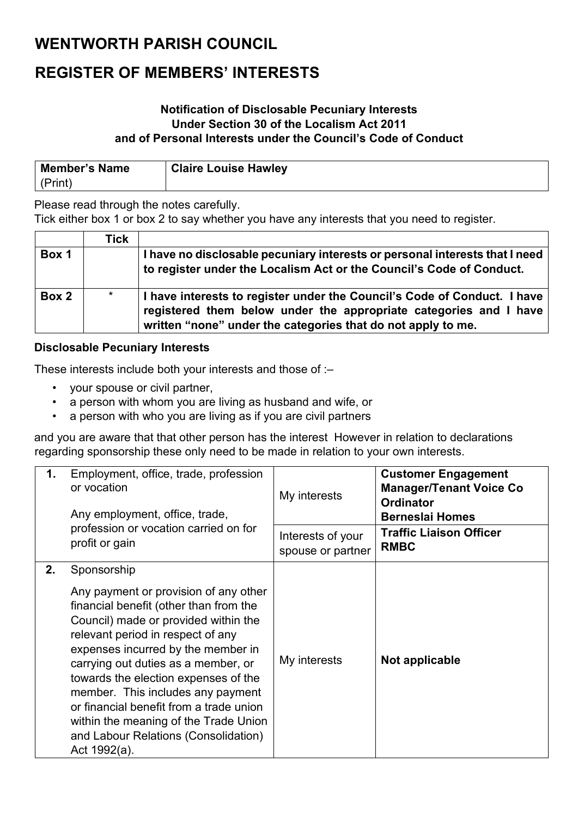### **WENTWORTH PARISH COUNCIL**

## **REGISTER OF MEMBERS' INTERESTS**

### **Notification of Disclosable Pecuniary Interests Under Section 30 of the Localism Act 2011 and of Personal Interests under the Council's Code of Conduct**

| <b>Member's Name</b> | <b>Claire Louise Hawley</b> |
|----------------------|-----------------------------|
| (Print)              |                             |

Please read through the notes carefully.

Tick either box 1 or box 2 to say whether you have any interests that you need to register.

|       | Tick    |                                                                                                                                                                                                               |
|-------|---------|---------------------------------------------------------------------------------------------------------------------------------------------------------------------------------------------------------------|
| Box 1 |         | I have no disclosable pecuniary interests or personal interests that I need<br>to register under the Localism Act or the Council's Code of Conduct.                                                           |
| Box 2 | $\star$ | I have interests to register under the Council's Code of Conduct. I have<br>registered them below under the appropriate categories and I have<br>written "none" under the categories that do not apply to me. |

#### **Disclosable Pecuniary Interests**

These interests include both your interests and those of :–

- your spouse or civil partner,
- a person with whom you are living as husband and wife, or
- a person with who you are living as if you are civil partners

and you are aware that that other person has the interest However in relation to declarations regarding sponsorship these only need to be made in relation to your own interests.

| 1. | Employment, office, trade, profession<br>or vocation<br>Any employment, office, trade,                                                                                                                                                                                                                                                                                                                                                                                            | My interests                           | <b>Customer Engagement</b><br><b>Manager/Tenant Voice Co</b><br><b>Ordinator</b><br><b>Berneslai Homes</b> |
|----|-----------------------------------------------------------------------------------------------------------------------------------------------------------------------------------------------------------------------------------------------------------------------------------------------------------------------------------------------------------------------------------------------------------------------------------------------------------------------------------|----------------------------------------|------------------------------------------------------------------------------------------------------------|
|    | profession or vocation carried on for<br>profit or gain                                                                                                                                                                                                                                                                                                                                                                                                                           | Interests of your<br>spouse or partner | <b>Traffic Liaison Officer</b><br><b>RMBC</b>                                                              |
| 2. | Sponsorship<br>Any payment or provision of any other<br>financial benefit (other than from the<br>Council) made or provided within the<br>relevant period in respect of any<br>expenses incurred by the member in<br>carrying out duties as a member, or<br>towards the election expenses of the<br>member. This includes any payment<br>or financial benefit from a trade union<br>within the meaning of the Trade Union<br>and Labour Relations (Consolidation)<br>Act 1992(a). | My interests                           | Not applicable                                                                                             |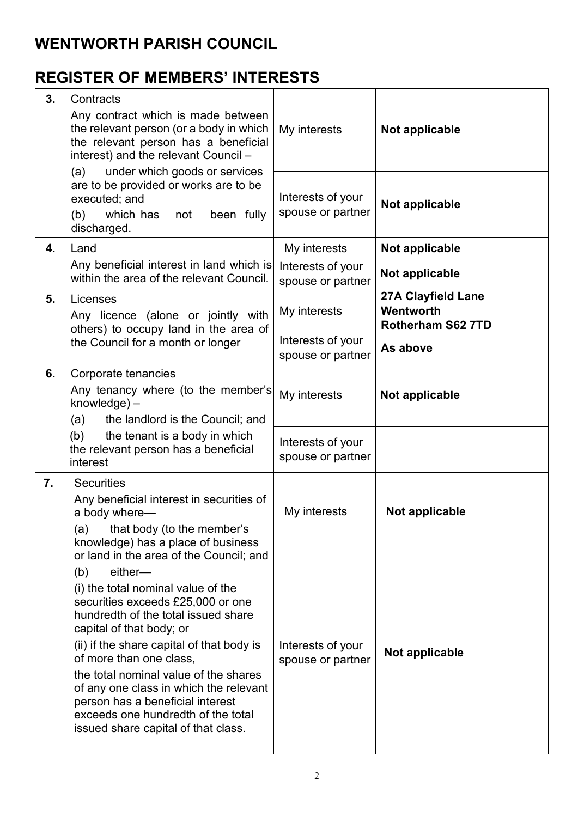## **WENTWORTH PARISH COUNCIL**

# **REGISTER OF MEMBERS' INTERESTS**

| 3. | Contracts<br>Any contract which is made between<br>the relevant person (or a body in which<br>the relevant person has a beneficial<br>interest) and the relevant Council -<br>under which goods or services<br>(a)                                                                                                                                                                                                                                                                  | My interests                           | Not applicable                                              |
|----|-------------------------------------------------------------------------------------------------------------------------------------------------------------------------------------------------------------------------------------------------------------------------------------------------------------------------------------------------------------------------------------------------------------------------------------------------------------------------------------|----------------------------------------|-------------------------------------------------------------|
|    | are to be provided or works are to be<br>executed; and<br>(b)<br>which has<br>been fully<br>not<br>discharged.                                                                                                                                                                                                                                                                                                                                                                      | Interests of your<br>spouse or partner | Not applicable                                              |
| 4. | Land                                                                                                                                                                                                                                                                                                                                                                                                                                                                                | My interests                           | Not applicable                                              |
|    | Any beneficial interest in land which is<br>within the area of the relevant Council.                                                                                                                                                                                                                                                                                                                                                                                                | Interests of your<br>spouse or partner | Not applicable                                              |
| 5. | Licenses<br>Any licence (alone or jointly with<br>others) to occupy land in the area of<br>the Council for a month or longer                                                                                                                                                                                                                                                                                                                                                        | My interests                           | 27A Clayfield Lane<br>Wentworth<br><b>Rotherham S62 7TD</b> |
|    |                                                                                                                                                                                                                                                                                                                                                                                                                                                                                     | Interests of your<br>spouse or partner | As above                                                    |
| 6. | Corporate tenancies<br>Any tenancy where (to the member's<br>knowledge) -<br>(a)<br>the landlord is the Council; and<br>(b)<br>the tenant is a body in which                                                                                                                                                                                                                                                                                                                        | My interests<br>Interests of your      | Not applicable                                              |
|    | the relevant person has a beneficial<br>interest                                                                                                                                                                                                                                                                                                                                                                                                                                    | spouse or partner                      |                                                             |
| 7. | <b>Securities</b><br>Any beneficial interest in securities of<br>a body where-<br>that body (to the member's<br>(a)<br>knowledge) has a place of business                                                                                                                                                                                                                                                                                                                           | My interests                           | Not applicable                                              |
|    | or land in the area of the Council; and<br>either-<br>(b)<br>(i) the total nominal value of the<br>securities exceeds £25,000 or one<br>hundredth of the total issued share<br>capital of that body; or<br>(ii) if the share capital of that body is<br>of more than one class,<br>the total nominal value of the shares<br>of any one class in which the relevant<br>person has a beneficial interest<br>exceeds one hundredth of the total<br>issued share capital of that class. | Interests of your<br>spouse or partner | Not applicable                                              |